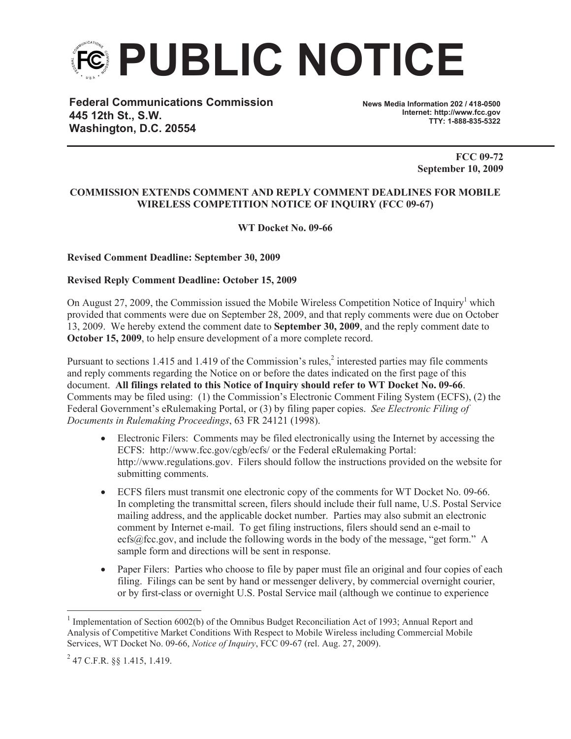

**Federal Communications Commission 445 12th St., S.W. Washington, D.C. 20554**

**News Media Information 202 / 418-0500 Internet: http://www.fcc.gov TTY: 1-888-835-5322**

> **FCC 09-72 September 10, 2009**

## **COMMISSION EXTENDS COMMENT AND REPLY COMMENT DEADLINES FOR MOBILE WIRELESS COMPETITION NOTICE OF INQUIRY (FCC 09-67)**

**WT Docket No. 09-66**

## **Revised Comment Deadline: September 30, 2009**

## **Revised Reply Comment Deadline: October 15, 2009**

On August 27, 2009, the Commission issued the Mobile Wireless Competition Notice of Inquiry<sup>1</sup> which provided that comments were due on September 28, 2009, and that reply comments were due on October 13, 2009. We hereby extend the comment date to **September 30, 2009**, and the reply comment date to **October 15, 2009**, to help ensure development of a more complete record.

Pursuant to sections 1.415 and 1.419 of the Commission's rules, $\frac{2}{3}$  interested parties may file comments and reply comments regarding the Notice on or before the dates indicated on the first page of this document. **All filings related to this Notice of Inquiry should refer to WT Docket No. 09-66**. Comments may be filed using: (1) the Commission's Electronic Comment Filing System (ECFS), (2) the Federal Government's eRulemaking Portal, or (3) by filing paper copies. *See Electronic Filing of Documents in Rulemaking Proceedings*, 63 FR 24121 (1998).

- Electronic Filers: Comments may be filed electronically using the Internet by accessing the ECFS: http://www.fcc.gov/cgb/ecfs/ or the Federal eRulemaking Portal: http://www.regulations.gov. Filers should follow the instructions provided on the website for submitting comments.
- · ECFS filers must transmit one electronic copy of the comments for WT Docket No. 09-66. In completing the transmittal screen, filers should include their full name, U.S. Postal Service mailing address, and the applicable docket number. Parties may also submit an electronic comment by Internet e-mail. To get filing instructions, filers should send an e-mail to ecfs@fcc.gov, and include the following words in the body of the message, "get form." A sample form and directions will be sent in response.
- Paper Filers: Parties who choose to file by paper must file an original and four copies of each filing. Filings can be sent by hand or messenger delivery, by commercial overnight courier, or by first-class or overnight U.S. Postal Service mail (although we continue to experience

<sup>&</sup>lt;sup>1</sup> Implementation of Section 6002(b) of the Omnibus Budget Reconciliation Act of 1993; Annual Report and Analysis of Competitive Market Conditions With Respect to Mobile Wireless including Commercial Mobile Services, WT Docket No. 09-66, *Notice of Inquiry*, FCC 09-67 (rel. Aug. 27, 2009).

 $^{2}$  47 C.F.R. §§ 1.415, 1.419.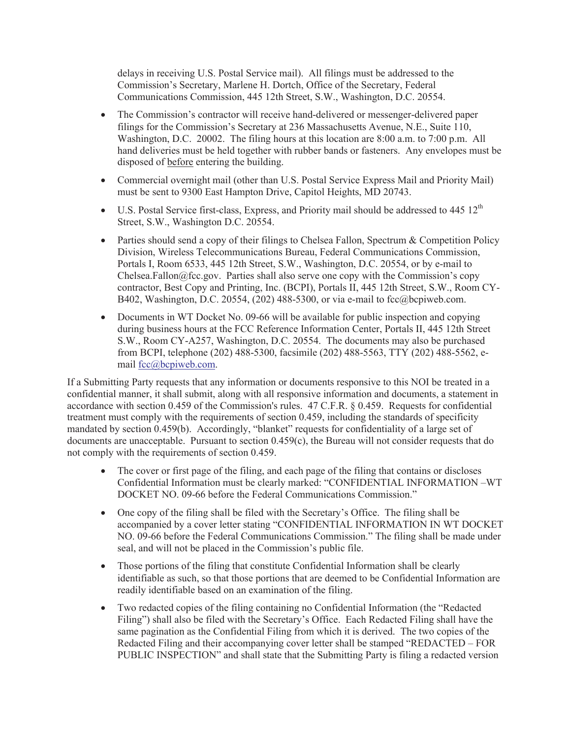delays in receiving U.S. Postal Service mail). All filings must be addressed to the Commission's Secretary, Marlene H. Dortch, Office of the Secretary, Federal Communications Commission, 445 12th Street, S.W., Washington, D.C. 20554.

- The Commission's contractor will receive hand-delivered or messenger-delivered paper filings for the Commission's Secretary at 236 Massachusetts Avenue, N.E., Suite 110, Washington, D.C. 20002. The filing hours at this location are 8:00 a.m. to 7:00 p.m. All hand deliveries must be held together with rubber bands or fasteners. Any envelopes must be disposed of before entering the building.
- · Commercial overnight mail (other than U.S. Postal Service Express Mail and Priority Mail) must be sent to 9300 East Hampton Drive, Capitol Heights, MD 20743.
- U.S. Postal Service first-class, Express, and Priority mail should be addressed to  $445 \frac{12^{th}}{125}$ Street, S.W., Washington D.C. 20554.
- Parties should send a copy of their filings to Chelsea Fallon, Spectrum  $\&$  Competition Policy Division, Wireless Telecommunications Bureau, Federal Communications Commission, Portals I, Room 6533, 445 12th Street, S.W., Washington, D.C. 20554, or by e-mail to Chelsea.Fallon $@$ fcc.gov. Parties shall also serve one copy with the Commission's copy contractor, Best Copy and Printing, Inc. (BCPI), Portals II, 445 12th Street, S.W., Room CY-B402, Washington, D.C. 20554, (202) 488-5300, or via e-mail to fcc@bcpiweb.com.
- Documents in WT Docket No. 09-66 will be available for public inspection and copying during business hours at the FCC Reference Information Center, Portals II, 445 12th Street S.W., Room CY-A257, Washington, D.C. 20554. The documents may also be purchased from BCPI, telephone (202) 488-5300, facsimile (202) 488-5563, TTY (202) 488-5562, email fcc@bcpiweb.com.

If a Submitting Party requests that any information or documents responsive to this NOI be treated in a confidential manner, it shall submit, along with all responsive information and documents, a statement in accordance with section 0.459 of the Commission's rules. 47 C.F.R. § 0.459. Requests for confidential treatment must comply with the requirements of section 0.459, including the standards of specificity mandated by section 0.459(b). Accordingly, "blanket" requests for confidentiality of a large set of documents are unacceptable. Pursuant to section 0.459(c), the Bureau will not consider requests that do not comply with the requirements of section 0.459.

- The cover or first page of the filing, and each page of the filing that contains or discloses Confidential Information must be clearly marked: "CONFIDENTIAL INFORMATION –WT DOCKET NO. 09-66 before the Federal Communications Commission."
- One copy of the filing shall be filed with the Secretary's Office. The filing shall be accompanied by a cover letter stating "CONFIDENTIAL INFORMATION IN WT DOCKET NO. 09-66 before the Federal Communications Commission." The filing shall be made under seal, and will not be placed in the Commission's public file.
- Those portions of the filing that constitute Confidential Information shall be clearly identifiable as such, so that those portions that are deemed to be Confidential Information are readily identifiable based on an examination of the filing.
- · Two redacted copies of the filing containing no Confidential Information (the "Redacted Filing") shall also be filed with the Secretary's Office. Each Redacted Filing shall have the same pagination as the Confidential Filing from which it is derived. The two copies of the Redacted Filing and their accompanying cover letter shall be stamped "REDACTED – FOR PUBLIC INSPECTION" and shall state that the Submitting Party is filing a redacted version